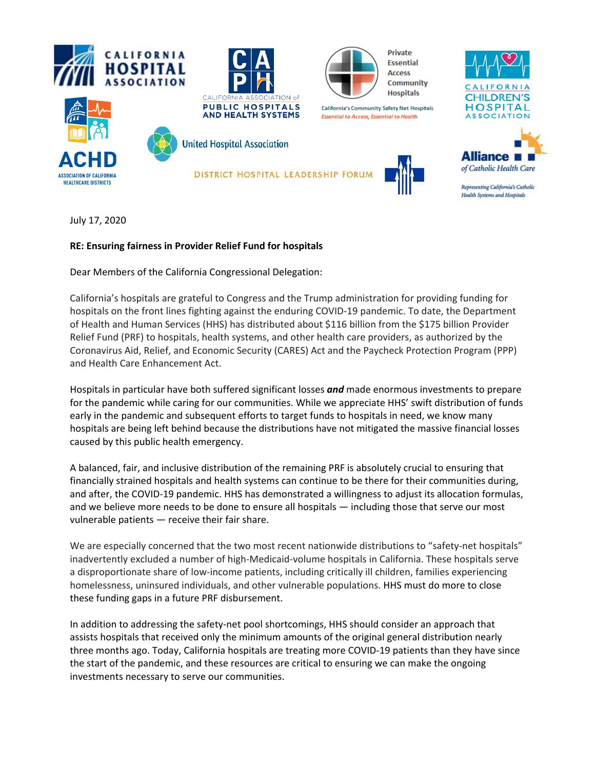





**California's Community Safety Net Hospitals** 

**Essential to Access, Essential to Health** 

**Private Essential Access Community Hospitals** 

**CHILDREN'S HOSPITAL ASSOCIATION** 





**United Hospital Association** 

DISTRICT HOSPITAL LEADERSHIP FORUM





Representing California's Catholic **Health Systems and Hospitals** 

July 17, 2020

## **RE: Ensuring fairness in Provider Relief Fund for hospitals**

Dear Members of the California Congressional Delegation:

California's hospitals are grateful to Congress and the Trump administration for providing funding for hospitals on the front lines fighting against the enduring COVID-19 pandemic. To date, the Department of Health and Human Services (HHS) has distributed about \$116 billion from the \$175 billion Provider Relief Fund (PRF) to hospitals, health systems, and other health care providers, as authorized by the Coronavirus Aid, Relief, and Economic Security (CARES) Act and the Paycheck Protection Program (PPP) and Health Care Enhancement Act.

Hospitals in particular have both suffered significant losses *and* made enormous investments to prepare for the pandemic while caring for our communities. While we appreciate HHS' swift distribution of funds early in the pandemic and subsequent efforts to target funds to hospitals in need, we know many hospitals are being left behind because the distributions have not mitigated the massive financial losses caused by this public health emergency.

A balanced, fair, and inclusive distribution of the remaining PRF is absolutely crucial to ensuring that financially strained hospitals and health systems can continue to be there for their communities during, and after, the COVID-19 pandemic. HHS has demonstrated a willingness to adjust its allocation formulas, and we believe more needs to be done to ensure all hospitals — including those that serve our most vulnerable patients — receive their fair share.

We are especially concerned that the two most recent nationwide distributions to "safety-net hospitals" inadvertently excluded a number of high-Medicaid-volume hospitals in California. These hospitals serve a disproportionate share of low-income patients, including critically ill children, families experiencing homelessness, uninsured individuals, and other vulnerable populations. HHS must do more to close these funding gaps in a future PRF disbursement.

In addition to addressing the safety-net pool shortcomings, HHS should consider an approach that assists hospitals that received only the minimum amounts of the original general distribution nearly three months ago. Today, California hospitals are treating more COVID-19 patients than they have since the start of the pandemic, and these resources are critical to ensuring we can make the ongoing investments necessary to serve our communities.